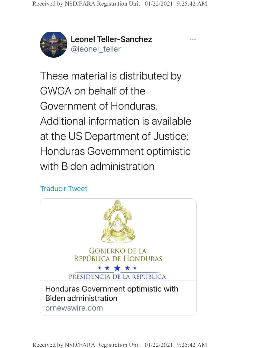

**Leonel Teller-Sanchez** @leonel\_teller

These material is distributed by GWGA on behalf of the Government of Honduras. Additional information is available at the US Department of Justice: Honduras Government optimistic with Biden administration

## Traducir Tweet

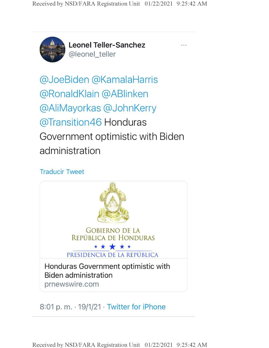

**Leonel Teller-Sanchez** @leonel\_teller

@JoeBiden @KamalaHarris @RonaldKlain @ABIinken @AliMayorkas @JohnKerry @Transition46 Honduras Government optimistic with Biden administration

#### Traducir Tweet



## 8:01 p. m.  $\cdot$  19/1/21  $\cdot$  Twitter for iPhone

**Received by NSD/FARA Registration Unit 01/22/2021 9:25:42 AM**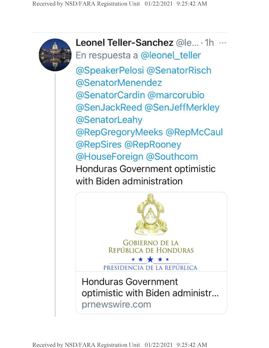

**Leonel Teller-Sanchez** @le... • 1h En respuesta a @leonel\_teller @SpeakerPelosi @SenatorRisch @SenatorMenendez @SenatorCardin @marcorubio @SenJackReed @SenJeffMerkley @SenatorLeahy @RepGregoryMeeks @RepMcCaul @RepSires @RepRooney @HouseForeign @Southcom Honduras Government optimistic with Biden administration

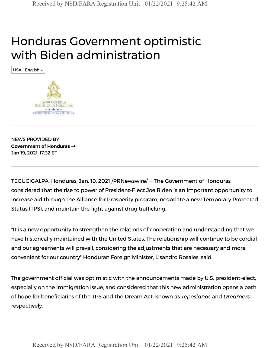# Honduras Government optimistic with Biden administration

USA - English



NEWS PROVIDED BY **Government of Honduras —** Jan 19, 2021,17:32 ET

TEGUCIGALPA, Honduras, Jan. 19, 2021 /PRNewswire/- The Government of Honduras considered that the rise to power of President-Elect Joe Biden is an important opportunity to increase aid through the Alliance for Prosperity program, negotiate a new Temporary Protected Status (TPS), and maintain the fight against drug trafficking.

"It is a new opportunity to strengthen the relations of cooperation and understanding that we have historically maintained with the United States. The relationship will continue to be cordial and our agreements will prevail, considering the adjustments that are necessary and more convenient for our country" Honduran Foreign Minister, Lisandro Rosales, said.

The government official was optimistic with the announcements made by U.S. president-elect, especially on the immigration issue, and considered that this new administration opens a path of hope for beneficiaries of the TPS and the Dream Act, known as *Tepesianos* and *Dreamers* respectively.